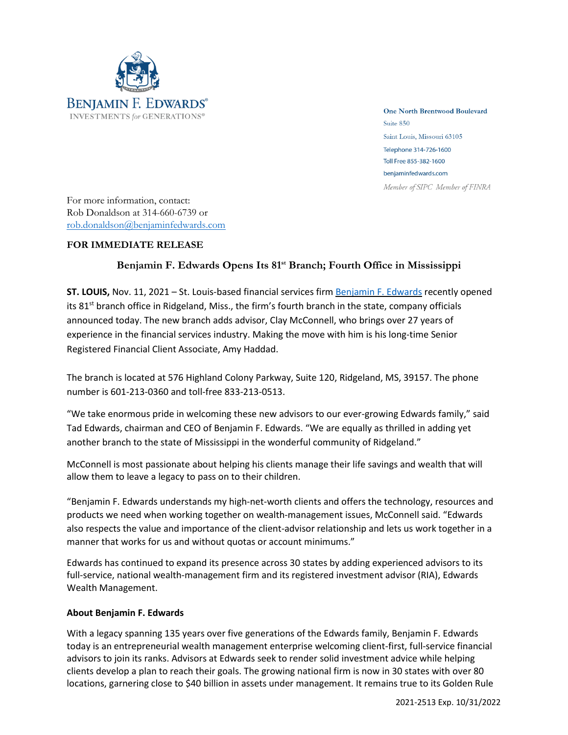

**One North Brentwood Boulevard** Suite 850 Saint Louis, Missouri 63105 Telephone 314-726-1600 Toll Free 855-382-1600 benjaminfedwards.com Member of SIPC Member of FINRA

For more information, contact: Rob Donaldson at 314-660-6739 or [rob.donaldson@benjaminfedwards.com](mailto:rob.donaldson@benjaminfedwards.com)

## **FOR IMMEDIATE RELEASE**

## **Benjamin F. Edwards Opens Its 81 st Branch; Fourth Office in Mississippi**

**ST. LOUIS,** Nov. 11, 2021 – St. Louis-based financial services firm [Benjamin](https://benjaminfedwards.com/) F. Edwards recently opened its 81<sup>st</sup> branch office in Ridgeland, Miss., the firm's fourth branch in the state, company officials announced today. The new branch adds advisor, Clay McConnell, who brings over 27 years of experience in the financial services industry. Making the move with him is his long-time Senior Registered Financial Client Associate, Amy Haddad.

The branch is located at 576 Highland Colony Parkway, Suite 120, Ridgeland, MS, 39157. The phone number is 601-213-0360 and toll-free 833-213-0513.

"We take enormous pride in welcoming these new advisors to our ever-growing Edwards family," said Tad Edwards, chairman and CEO of Benjamin F. Edwards. "We are equally as thrilled in adding yet another branch to the state of Mississippi in the wonderful community of Ridgeland."

McConnell is most passionate about helping his clients manage their life savings and wealth that will allow them to leave a legacy to pass on to their children.

"Benjamin F. Edwards understands my high-net-worth clients and offers the technology, resources and products we need when working together on wealth-management issues, McConnell said. "Edwards also respects the value and importance of the client-advisor relationship and lets us work together in a manner that works for us and without quotas or account minimums."

Edwards has continued to expand its presence across 30 states by adding experienced advisors to its full-service, national wealth-management firm and its registered investment advisor (RIA), Edwards Wealth Management.

## **About Benjamin F. Edwards**

With a legacy spanning 135 years over five generations of the Edwards family, Benjamin F. Edwards today is an entrepreneurial wealth management enterprise welcoming client-first, full-service financial advisors to join its ranks. Advisors at Edwards seek to render solid investment advice while helping clients develop a plan to reach their goals. The growing national firm is now in 30 states with over 80 locations, garnering close to \$40 billion in assets under management. It remains true to its Golden Rule